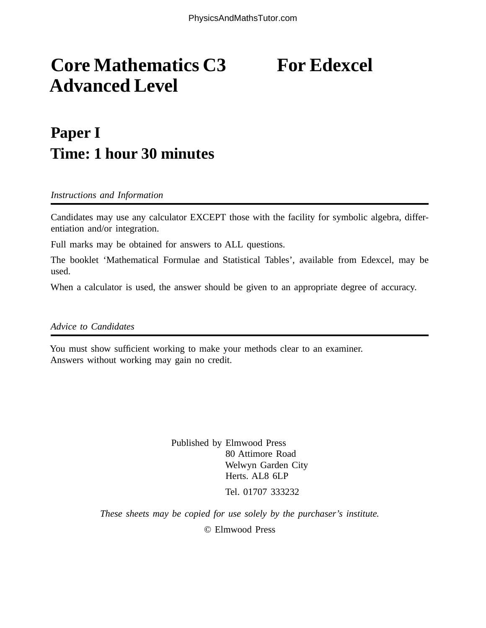## **Core Mathematics C3** For Edexcel **Advanced Level**

## **Paper I Time: 1 hour 30 minutes**

*Instructions and Information*

Candidates may use any calculator EXCEPT those with the facility for symbolic algebra, differentiation and/or integration.

Full marks may be obtained for answers to ALL questions.

The booklet 'Mathematical Formulae and Statistical Tables', available from Edexcel, may be used.

When a calculator is used, the answer should be given to an appropriate degree of accuracy.

*Advice to Candidates*

You must show sufficient working to make your methods clear to an examiner. Answers without working may gain no credit.

> Published by Elmwood Press 80 Attimore Road Welwyn Garden City Herts. AL8 6LP Tel. 01707 333232

*These sheets may be copied for use solely by the purchaser's institute.*

© Elmwood Press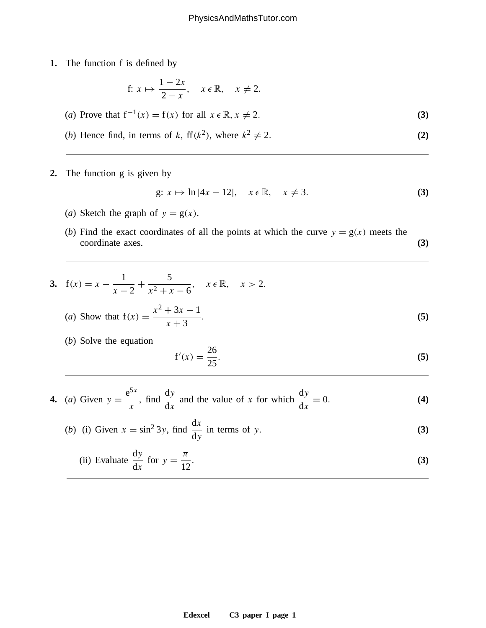**1.** The function f is defined by

f: 
$$
x \mapsto \frac{1-2x}{2-x}
$$
,  $x \in \mathbb{R}$ ,  $x \neq 2$ .

(a) Prove that 
$$
f^{-1}(x) = f(x)
$$
 for all  $x \in \mathbb{R}$ ,  $x \neq 2$ . (3)

(b) Hence find, in terms of k, 
$$
f(k^2)
$$
, where  $k^2 \neq 2$ . (2)

**2.** The function g is given by

$$
g: x \mapsto \ln|4x - 12|, \quad x \in \mathbb{R}, \quad x \neq 3. \tag{3}
$$

- (*a*) Sketch the graph of  $y = g(x)$ .
- (*b*) Find the exact coordinates of all the points at which the curve  $y = g(x)$  meets the coordinate axes. **(3)**

3. 
$$
f(x) = x - \frac{1}{x - 2} + \frac{5}{x^2 + x - 6}
$$
,  $x \in \mathbb{R}$ ,  $x > 2$ .  
\n(a) Show that  $f(x) = \frac{x^2 + 3x - 1}{x + 3}$ . (5)

(*b*) Solve the equation

$$
f'(x) = \frac{26}{25}.
$$
 (5)

**4.** (a) Given 
$$
y = \frac{e^{5x}}{x}
$$
, find  $\frac{dy}{dx}$  and the value of x for which  $\frac{dy}{dx} = 0$ . (4)

(b) (i) Given 
$$
x = \sin^2 3y
$$
, find  $\frac{dx}{dy}$  in terms of y. (3)

(ii) Evaluate 
$$
\frac{dy}{dx}
$$
 for  $y = \frac{\pi}{12}$ . (3)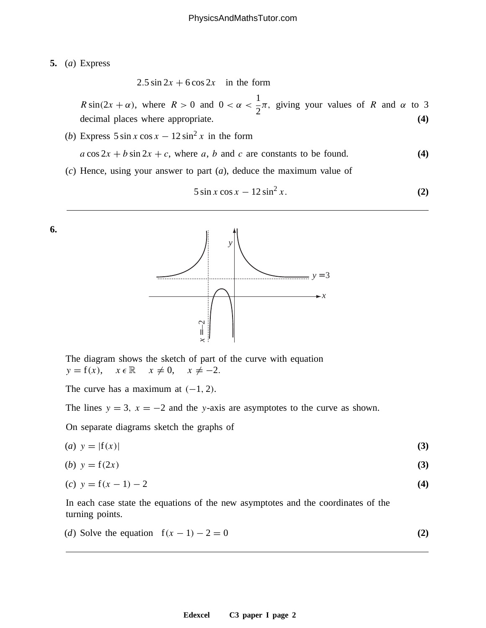**5.** (*a*) Express

 $2.5 \sin 2x + 6 \cos 2x$  in the form

 $R \sin(2x + \alpha)$ , where  $R > 0$  and  $0 < \alpha <$ 1 2  $\pi$ , giving your values of R and  $\alpha$  to 3 decimal places where appropriate. **(4)**

- (*b*) Express  $5 \sin x \cos x 12 \sin^2 x$  in the form  $a \cos 2x + b \sin 2x + c$ , where a, b and c are constants to be found. **(4)**
- (*c*) Hence, using your answer to part (*a*), deduce the maximum value of

$$
5\sin x \cos x - 12\sin^2 x. \tag{2}
$$





The diagram shows the sketch of part of the curve with equation  $y = f(x), \quad x \in \mathbb{R} \quad x \neq 0, \quad x \neq -2.$ 

The curve has a maximum at  $(-1, 2)$ .

The lines  $y = 3$ ,  $x = -2$  and the y-axis are asymptotes to the curve as shown.

On separate diagrams sketch the graphs of

(*a*)  $y = |f(x)|$  (3)

$$
(b) \ y = f(2x) \tag{3}
$$

(c) 
$$
y = f(x - 1) - 2
$$
 (4)

In each case state the equations of the new asymptotes and the coordinates of the turning points.

(d) Solve the equation 
$$
f(x-1) - 2 = 0
$$
 (2)